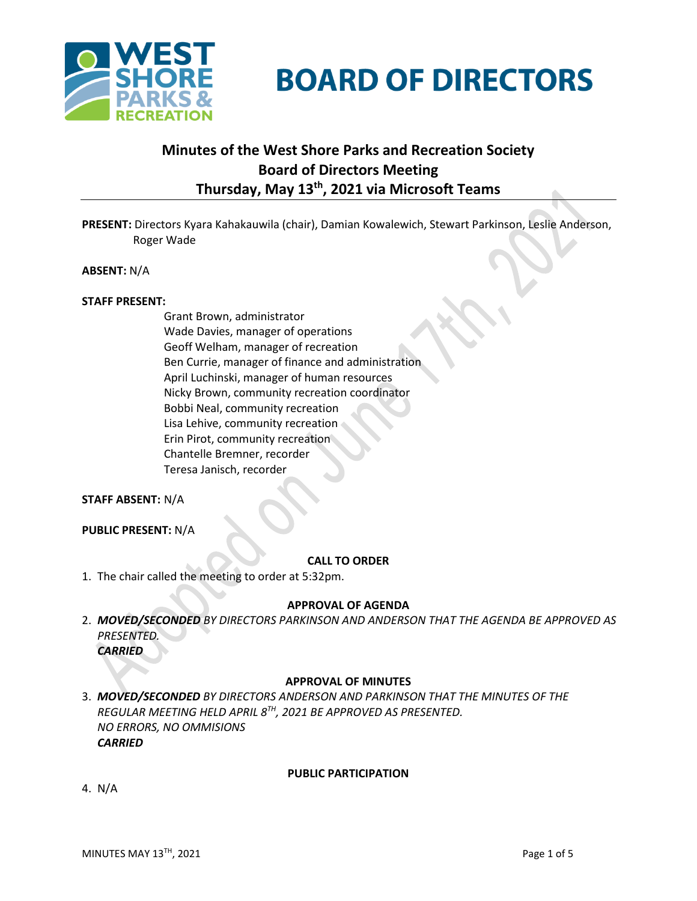

# **BOARD OF DIRECTORS**

# **Minutes of the West Shore Parks and Recreation Society Board of Directors Meeting Thursday, May 13th , 2021 via Microsoft Teams**

**PRESENT:** Directors Kyara Kahakauwila (chair), Damian Kowalewich, Stewart Parkinson, Leslie Anderson, Roger Wade

**ABSENT:** N/A

#### **STAFF PRESENT:**

Grant Brown, administrator Wade Davies, manager of operations Geoff Welham, manager of recreation Ben Currie, manager of finance and administration April Luchinski, manager of human resources Nicky Brown, community recreation coordinator Bobbi Neal, community recreation Lisa Lehive, community recreation Erin Pirot, community recreation Chantelle Bremner, recorder Teresa Janisch, recorder

#### **STAFF ABSENT:** N/A

**PUBLIC PRESENT:** N/A

#### **CALL TO ORDER**

1. The chair called the meeting to order at 5:32pm.

#### **APPROVAL OF AGENDA**

2. *MOVED/SECONDED BY DIRECTORS PARKINSON AND ANDERSON THAT THE AGENDA BE APPROVED AS PRESENTED. CARRIED*

#### **APPROVAL OF MINUTES**

3. *MOVED/SECONDED BY DIRECTORS ANDERSON AND PARKINSON THAT THE MINUTES OF THE REGULAR MEETING HELD APRIL 8 TH, 2021 BE APPROVED AS PRESENTED. NO ERRORS, NO OMMISIONS CARRIED*

#### **PUBLIC PARTICIPATION**

4. N/A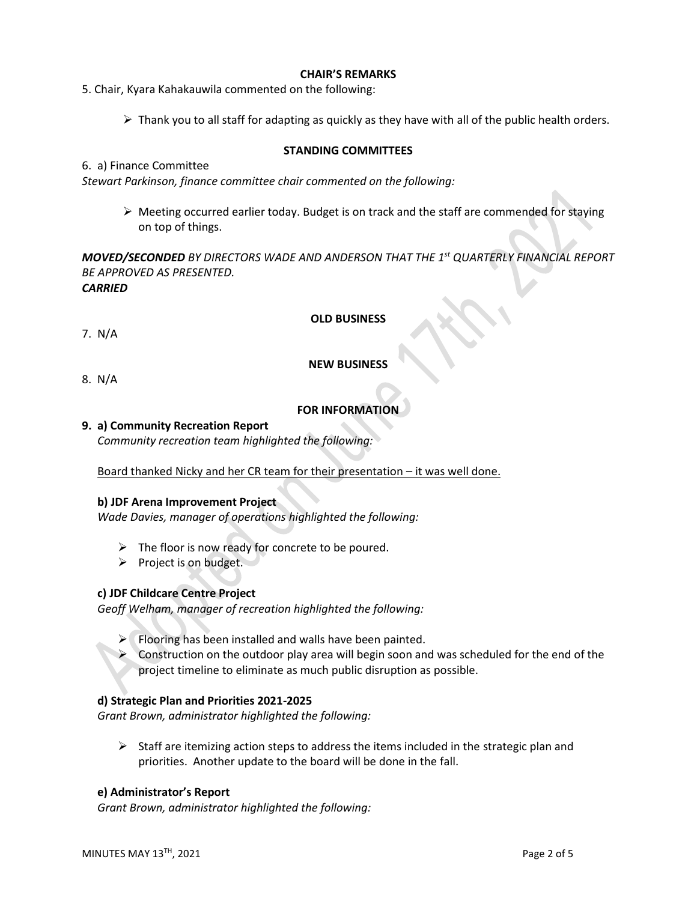#### **CHAIR'S REMARKS**

5. Chair, Kyara Kahakauwila commented on the following:

 $\triangleright$  Thank you to all staff for adapting as quickly as they have with all of the public health orders.

#### **STANDING COMMITTEES**

#### 6. a) Finance Committee

*Stewart Parkinson, finance committee chair commented on the following:*

 $\triangleright$  Meeting occurred earlier today. Budget is on track and the staff are commended for staying on top of things.

*MOVED/SECONDED BY DIRECTORS WADE AND ANDERSON THAT THE 1 st QUARTERLY FINANCIAL REPORT BE APPROVED AS PRESENTED. CARRIED* 

#### **OLD BUSINESS**

7. N/A

#### **NEW BUSINESS**

8.N/A

#### **FOR INFORMATION**

#### **9. a) Community Recreation Report**

*Community recreation team highlighted the following:*

Board thanked Nicky and her CR team for their presentation – it was well done.

#### **b) JDF Arena Improvement Project**

*Wade Davies, manager of operations highlighted the following:*

- $\triangleright$  The floor is now ready for concrete to be poured.
- ➢ Project is on budget.

#### **c) JDF Childcare Centre Project**

*Geoff Welham, manager of recreation highlighted the following:*

- $\triangleright$  Flooring has been installed and walls have been painted.
- ➢ Construction on the outdoor play area will begin soon and was scheduled for the end of the project timeline to eliminate as much public disruption as possible.

#### **d) Strategic Plan and Priorities 2021-2025**

*Grant Brown, administrator highlighted the following:*

 $\triangleright$  Staff are itemizing action steps to address the items included in the strategic plan and priorities. Another update to the board will be done in the fall.

#### **e) Administrator's Report**

*Grant Brown, administrator highlighted the following:*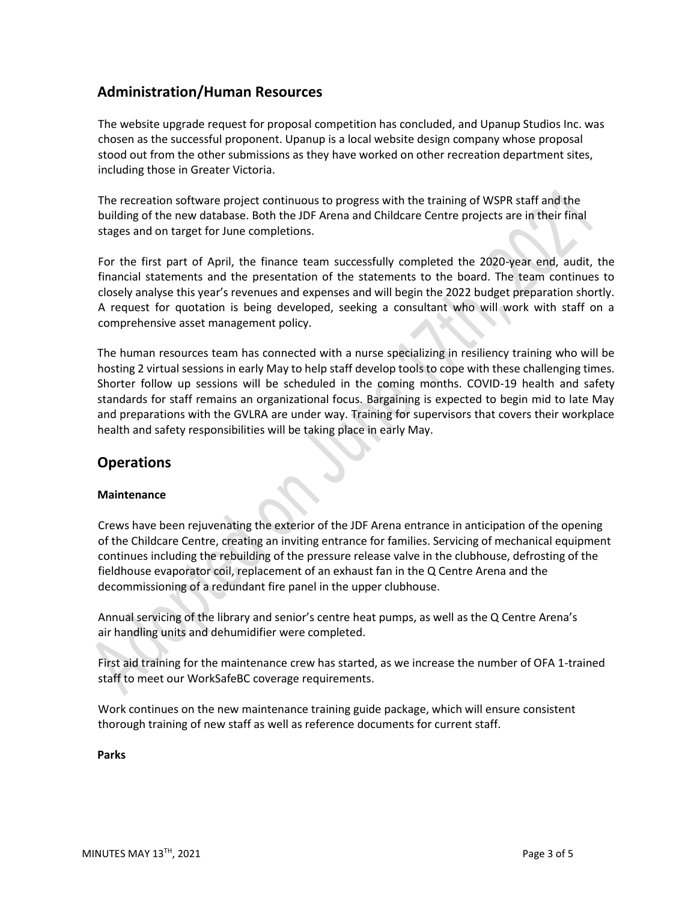# **Administration/Human Resources**

The website upgrade request for proposal competition has concluded, and Upanup Studios Inc. was chosen as the successful proponent. Upanup is a local website design company whose proposal stood out from the other submissions as they have worked on other recreation department sites, including those in Greater Victoria.

The recreation software project continuous to progress with the training of WSPR staff and the building of the new database. Both the JDF Arena and Childcare Centre projects are in their final stages and on target for June completions.

For the first part of April, the finance team successfully completed the 2020-year end, audit, the financial statements and the presentation of the statements to the board. The team continues to closely analyse this year's revenues and expenses and will begin the 2022 budget preparation shortly. A request for quotation is being developed, seeking a consultant who will work with staff on a comprehensive asset management policy.

The human resources team has connected with a nurse specializing in resiliency training who will be hosting 2 virtual sessions in early May to help staff develop tools to cope with these challenging times. Shorter follow up sessions will be scheduled in the coming months. COVID-19 health and safety standards for staff remains an organizational focus. Bargaining is expected to begin mid to late May and preparations with the GVLRA are under way. Training for supervisors that covers their workplace health and safety responsibilities will be taking place in early May.

## **Operations**

#### **Maintenance**

Crews have been rejuvenating the exterior of the JDF Arena entrance in anticipation of the opening of the Childcare Centre, creating an inviting entrance for families. Servicing of mechanical equipment continues including the rebuilding of the pressure release valve in the clubhouse, defrosting of the fieldhouse evaporator coil, replacement of an exhaust fan in the Q Centre Arena and the decommissioning of a redundant fire panel in the upper clubhouse.

Annual servicing of the library and senior's centre heat pumps, as well as the Q Centre Arena's air handling units and dehumidifier were completed.

First aid training for the maintenance crew has started, as we increase the number of OFA 1-trained staff to meet our WorkSafeBC coverage requirements.

Work continues on the new maintenance training guide package, which will ensure consistent thorough training of new staff as well as reference documents for current staff.

**Parks**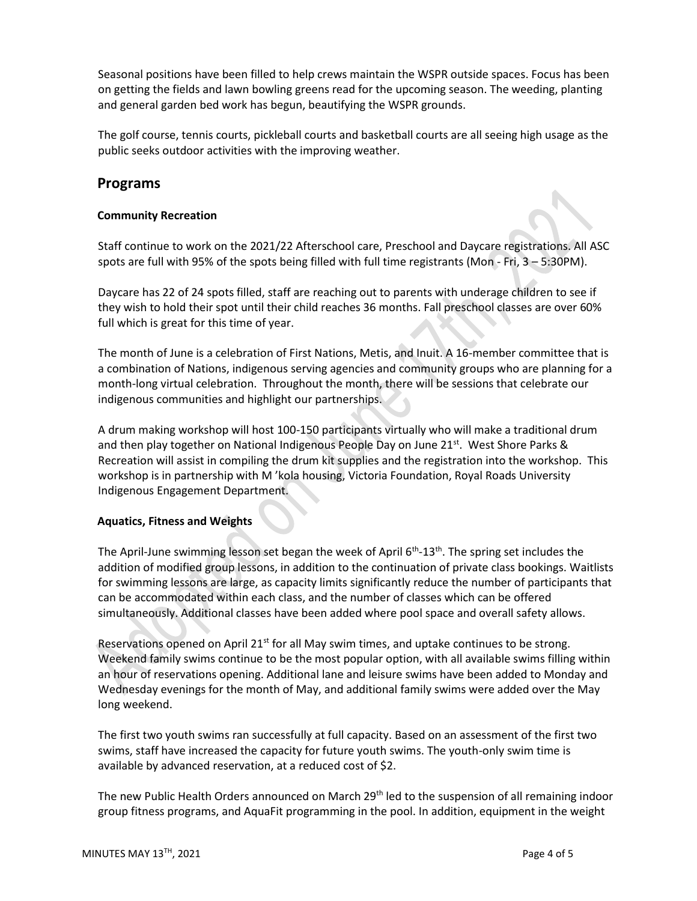Seasonal positions have been filled to help crews maintain the WSPR outside spaces. Focus has been on getting the fields and lawn bowling greens read for the upcoming season. The weeding, planting and general garden bed work has begun, beautifying the WSPR grounds.

The golf course, tennis courts, pickleball courts and basketball courts are all seeing high usage as the public seeks outdoor activities with the improving weather.

## **Programs**

#### **Community Recreation**

Staff continue to work on the 2021/22 Afterschool care, Preschool and Daycare registrations. All ASC spots are full with 95% of the spots being filled with full time registrants (Mon - Fri, 3 – 5:30PM).

Daycare has 22 of 24 spots filled, staff are reaching out to parents with underage children to see if they wish to hold their spot until their child reaches 36 months. Fall preschool classes are over 60% full which is great for this time of year.

The month of June is a celebration of First Nations, Metis, and Inuit. A 16-member committee that is a combination of Nations, indigenous serving agencies and community groups who are planning for a month-long virtual celebration. Throughout the month, there will be sessions that celebrate our indigenous communities and highlight our partnerships.

A drum making workshop will host 100-150 participants virtually who will make a traditional drum and then play together on National Indigenous People Day on June  $21^{st}$ . West Shore Parks & Recreation will assist in compiling the drum kit supplies and the registration into the workshop. This workshop is in partnership with M 'kola housing, Victoria Foundation, Royal Roads University Indigenous Engagement Department.

#### **Aquatics, Fitness and Weights**

The April-June swimming lesson set began the week of April 6<sup>th</sup>-13<sup>th</sup>. The spring set includes the addition of modified group lessons, in addition to the continuation of private class bookings. Waitlists for swimming lessons are large, as capacity limits significantly reduce the number of participants that can be accommodated within each class, and the number of classes which can be offered simultaneously. Additional classes have been added where pool space and overall safety allows.

Reservations opened on April 21<sup>st</sup> for all May swim times, and uptake continues to be strong. Weekend family swims continue to be the most popular option, with all available swims filling within an hour of reservations opening. Additional lane and leisure swims have been added to Monday and Wednesday evenings for the month of May, and additional family swims were added over the May long weekend.

The first two youth swims ran successfully at full capacity. Based on an assessment of the first two swims, staff have increased the capacity for future youth swims. The youth-only swim time is available by advanced reservation, at a reduced cost of \$2.

The new Public Health Orders announced on March 29<sup>th</sup> led to the suspension of all remaining indoor group fitness programs, and AquaFit programming in the pool. In addition, equipment in the weight